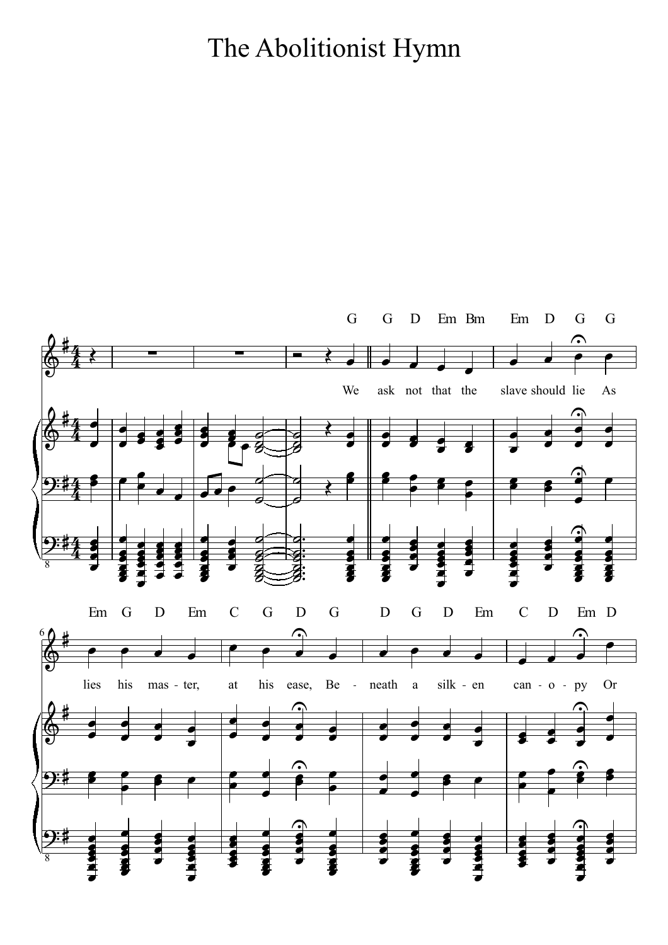## The Abolitionist Hymn

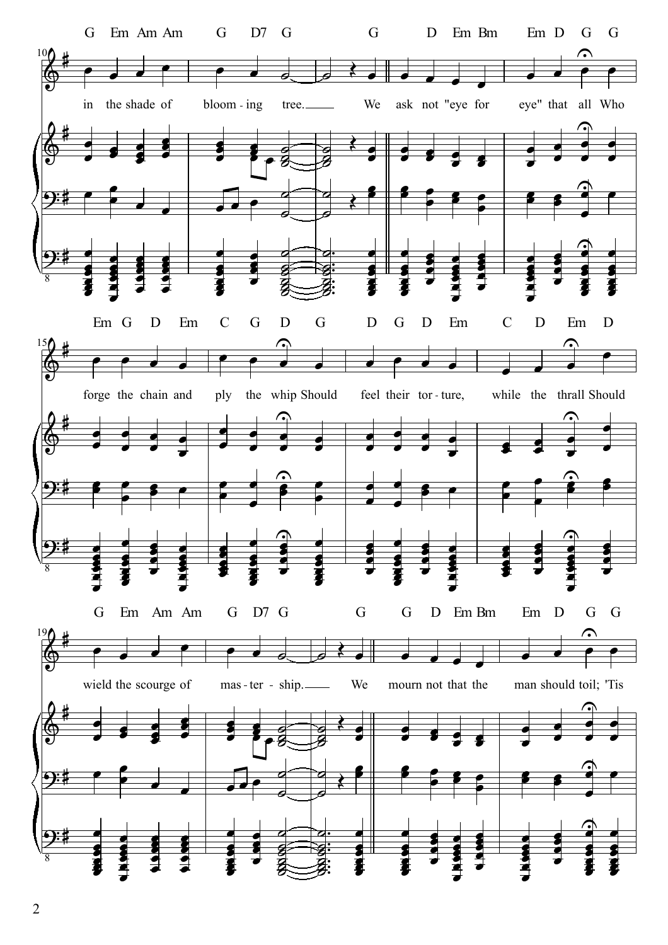